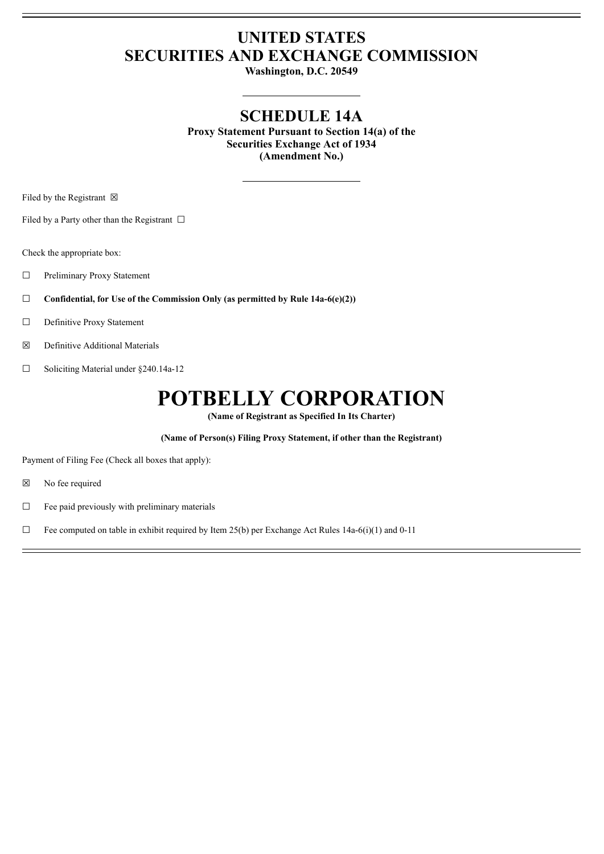## **UNITED STATES SECURITIES AND EXCHANGE COMMISSION**

**Washington, D.C. 20549**

### **SCHEDULE 14A**

**Proxy Statement Pursuant to Section 14(a) of the Securities Exchange Act of 1934 (Amendment No.)**

Filed by the Registrant  $\boxtimes$ 

Filed by a Party other than the Registrant  $\Box$ 

Check the appropriate box:

- ☐ Preliminary Proxy Statement
- ☐ **Confidential, for Use of the Commission Only (as permitted by Rule 14a-6(e)(2))**
- ☐ Definitive Proxy Statement
- ☒ Definitive Additional Materials
- ☐ Soliciting Material under §240.14a-12

# **POTBELLY CORPORATION**

**(Name of Registrant as Specified In Its Charter)**

**(Name of Person(s) Filing Proxy Statement, if other than the Registrant)**

Payment of Filing Fee (Check all boxes that apply):

- ☒ No fee required
- $\Box$  Fee paid previously with preliminary materials
- $\Box$  Fee computed on table in exhibit required by Item 25(b) per Exchange Act Rules 14a-6(i)(1) and 0-11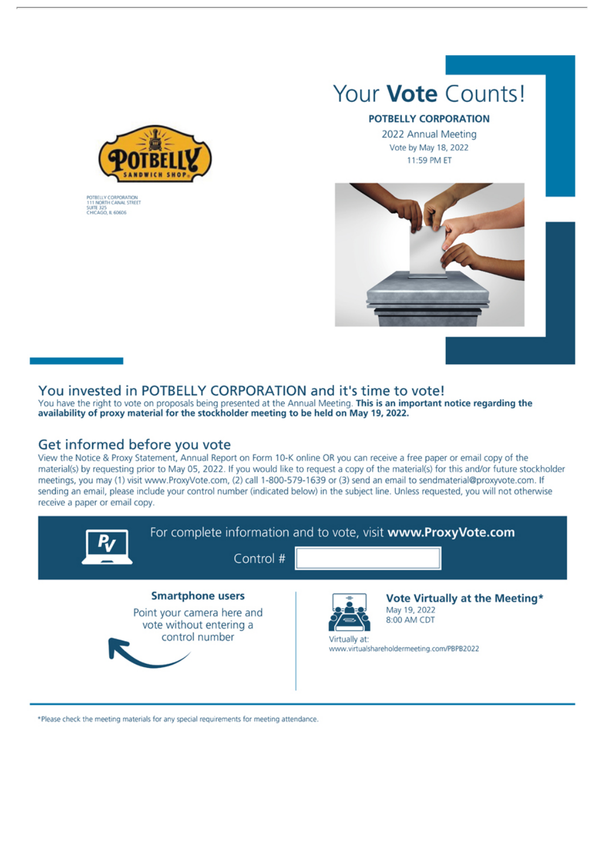

POTBELLY CORPORATION<br>111 NORTH CANAL STREET<br>SUITE 325<br>CHICAGO, IL 60606

# Your **Vote** Counts!

#### POTBELLY CORPORATION

2022 Annual Meeting Vote by May 18, 2022 11:59 PM ET



#### You invested in POTBELLY CORPORATION and it's time to vote!

You have the right to vote on proposals being presented at the Annual Meeting. This is an important notice regarding the availability of proxy material for the stockholder meeting to be held on May 19, 2022.

#### Get informed before you vote

View the Notice & Proxy Statement, Annual Report on Form 10-K online OR you can receive a free paper or email copy of the material(s) by requesting prior to May 05, 2022. If you would like to request a copy of the material(s) for this and/or future stockholder meetings, you may (1) visit www.ProxyVote.com, (2) call 1-800-579-1639 or (3) send an email to sendmaterial@proxyvote.com. If sending an email, please include your control number (indicated below) in the subject line. Unless requested, you will not otherwise receive a paper or email copy.



\*Please check the meeting materials for any special requirements for meeting attendance.